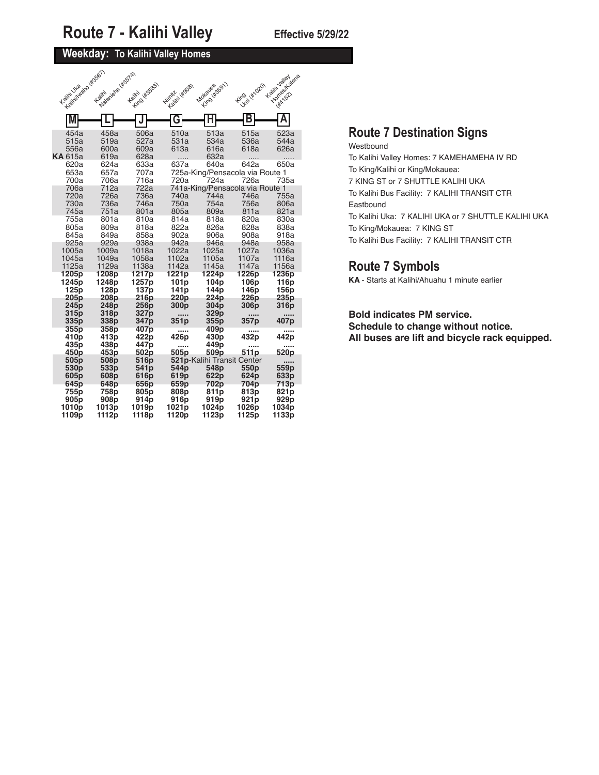### **Weekday: To Kalihi Valley Homes**

| Franklington (BSGT)<br>Kalini Uka      | Maximized Maximized As<br>Kailmi | with o lisses<br>Kailmi                    | Nimitir (4908)                                                    | Motavesser1                                           | Kingi (Kingo)                                   | Homes / dena<br>Kalifn Jalley<br><b>HAA</b> 1521 |
|----------------------------------------|----------------------------------|--------------------------------------------|-------------------------------------------------------------------|-------------------------------------------------------|-------------------------------------------------|--------------------------------------------------|
|                                        |                                  |                                            |                                                                   |                                                       |                                                 |                                                  |
| M                                      |                                  |                                            | G                                                                 | н                                                     |                                                 |                                                  |
| 454a<br>515a<br>556a<br><b>KA</b> 615a | 458a<br>519a<br>600a<br>619a     | 506a<br>527a<br>609a<br>628a               | 510a<br>531a<br>613a                                              | 513a<br>534a<br>616a<br>632a                          | 515a<br>536a<br>618a                            | 523a<br>544a<br>626a                             |
| 620a<br>653a<br>700a                   | 624a<br>657a<br>706a             | 633a<br>707a<br>716a                       | 637a<br>720a                                                      | 640a<br>724a                                          | 642a<br>725a-King/Pensacola via Route 1<br>726a | 650a<br>735a                                     |
| 706a<br>720a                           | 712a<br>726a                     | 722a<br>736a                               | 740a                                                              | 744a                                                  | 741a-King/Pensacola via Route 1<br>746a         | 755a                                             |
| 730a<br>745a                           | 736a<br>751a                     | 746a<br>801a                               | 750a<br>805a                                                      | 754a<br>809a                                          | 756a<br>811a                                    | 806a<br>821a                                     |
| 755a                                   | 801a                             | 810a                                       | 814a                                                              | 818a                                                  | 820a                                            | 830a                                             |
| 805a<br>845a                           | 809a<br>849a                     | 818a<br>858a                               | 822a<br>902a                                                      | 826a<br>906a                                          | 828a<br>908a                                    | 838a<br>918a                                     |
| 925a                                   | 929a                             | 938a                                       | 942a                                                              | 946a                                                  | 948a                                            | 958a                                             |
| 1005a<br>1045a<br>1125a                | 1009a<br>1049a<br>1129a          | 1018a<br>1058a<br>1138a                    | 1022a<br>1102a<br>1142a                                           | 1025a<br>1105a<br>1145a                               | 1027a<br>1107a<br>1147a                         | 1036a<br>1116a<br>1156a                          |
| 1205p<br>1245p<br>125p<br>205p         | 1208p<br>1248p<br>128p<br>208p   | 1217 <sub>p</sub><br>1257p<br>137p<br>216p | 1221 <sub>p</sub><br>101 <sub>p</sub><br>141 <sub>p</sub><br>220p | 1224 <sub>p</sub><br>104 <sub>p</sub><br>144p<br>224p | 1226p<br>106 <sub>p</sub><br>146p<br>226p       | 1236 <sub>p</sub><br>116p<br>156p<br>235p        |
| 245p                                   | 248p                             | 256p                                       | 300 <sub>p</sub>                                                  | 304 <sub>p</sub>                                      | 306 <sub>p</sub>                                | 316 <sub>p</sub>                                 |
| 315p<br>335p                           | 318p<br>338p                     | 327p<br>347 <sub>p</sub>                   | <br>351p                                                          | 329p<br>355p                                          | 357p                                            | 407p                                             |
| 355p<br>410p<br>435 <sub>p</sub>       | 358p<br>413p<br>438p             | 407p<br>422p<br>447 <sub>p</sub>           | <br>426p                                                          | 409p<br>430p<br>449p                                  | 432p                                            | 442p                                             |
| 450p                                   | 453p                             | 502p                                       | <br>505p                                                          | 509p                                                  | 511 <sub>p</sub>                                | 520p                                             |
| 505p                                   | 508p                             | 516p                                       |                                                                   | 521p-Kalihi Transit Center                            |                                                 |                                                  |
| 530 <sub>p</sub><br>605 <sub>p</sub>   | 533 <sub>p</sub><br>608p         | 541p<br>616p                               | 544p<br>619p                                                      | 548p<br>622p                                          | 550p<br>624p                                    | 559p<br>633p                                     |
| 645p<br>755p                           | 648p<br>758p                     | 656p<br>805p                               | 659p<br>808p                                                      | 702p<br>811p                                          | 704p<br>813p                                    | 713p<br>821 <sub>p</sub>                         |
| 905p                                   | 908p                             | 914 <sub>p</sub>                           | 916p                                                              | 919p                                                  | 921p                                            | 929 <sub>p</sub>                                 |
| 1010p<br>1109p                         | 1013p<br>1112p                   | 1019p<br>1118p                             | 1021p<br>1120p                                                    | 1024p<br>1123p                                        | 1026p<br>1125p                                  | 1034p<br>1133p                                   |

### **Route 7 Destination Signs**

Westbound To Kalihi Valley Homes: 7 KAMEHAMEHA IV RD To King/Kalihi or King/Mokauea: 7 KING ST or 7 SHUTTLE KALIHI UKA To Kalihi Bus Facility: 7 KALIHI TRANSIT CTR Eastbound To Kalihi Uka: 7 KALIHI UKA or 7 SHUTTLE KALIHI UKA To King/Mokauea: 7 KING ST To Kalihi Bus Facility: 7 KALIHI TRANSIT CTR

### **Route 7 Symbols**

**KA** - Starts at Kalihi/Ahuahu 1 minute earlier

### **Bold indicates PM service.**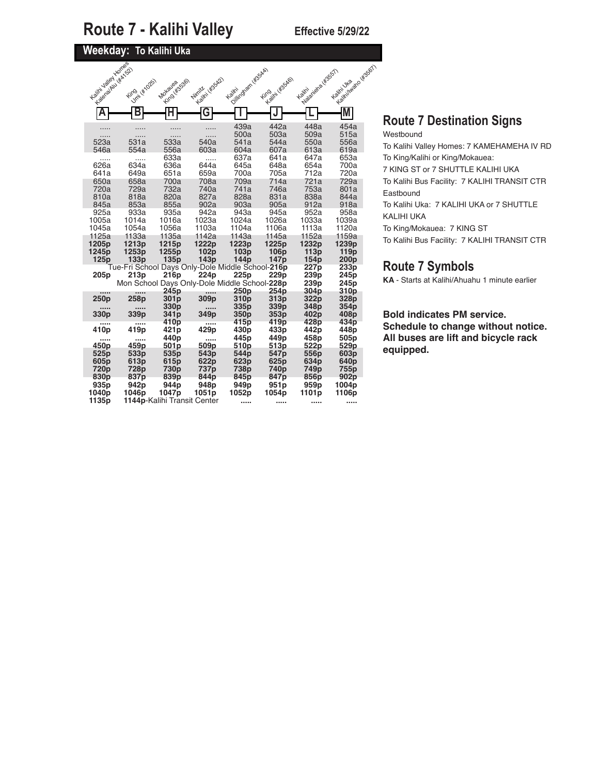## **Weekday: To Kalihi Uka**

| T to small the Ast SO &  | King (*1025)                                             | Kimol Ws536)<br>Mokayea | Nimit (45542)     | Ashiriko Gami (455AA)<br>Kailin | <b>Highlin</b> Wasako)<br><b>Fing</b> | Painting of de Wests /<br>Kaiiri | Legitive Views de Visson |  |
|--------------------------|----------------------------------------------------------|-------------------------|-------------------|---------------------------------|---------------------------------------|----------------------------------|--------------------------|--|
|                          | Β                                                        | Н                       | G                 |                                 |                                       |                                  |                          |  |
|                          |                                                          |                         |                   | 439a                            | 442a                                  | 448a                             | 454a                     |  |
| .                        | .                                                        |                         | .                 | 500a                            | 503a                                  | 509a                             | 515a                     |  |
| 523a                     | 531a                                                     | 533a                    | 540a              | 541a                            | 544a                                  | 550a                             | 556a                     |  |
| 546a                     | 554a                                                     | 556a<br>633a            | 603a              | 604a<br>637a                    | 607a                                  | 613a                             | 619a<br>653a             |  |
| .<br>626a                | <br>634a                                                 | 636a                    | .<br>644a         | 645a                            | 641a<br>648a                          | 647a<br>654a                     | 700a                     |  |
| 641a                     | 649a                                                     | 651a                    | 659a              | 700a                            | 705a                                  | 712a                             | 720a                     |  |
| 650a                     | 658a                                                     | 700a                    | 708a              | 709a                            | 714a                                  | 721a                             | 729a                     |  |
| 720a                     | 729a                                                     | 732a                    | 740a              | 741a                            | 746a                                  | 753a                             | 801a                     |  |
| 810a                     | 818a                                                     | 820a                    | 827a              | 828a                            | 831a                                  | 838a                             | 844a                     |  |
| 845a                     | 853a                                                     | 855a                    | 902a              | 903a                            | 905a                                  | 912a                             | 918a                     |  |
| 925a                     | 933a                                                     | 935a                    | 942a              | 943a                            | 945a                                  | 952a                             | 958a                     |  |
| 1005a                    | 1014a                                                    | 1016a                   | 1023a             | 1024a                           | 1026a                                 | 1033a                            | 1039a                    |  |
| 1045a                    | 1054a                                                    | 1056a                   | 1103a             | 1104a                           | 1106a                                 | 1113a                            | 1120a                    |  |
| 1125a                    | 1133a                                                    | 1135a                   | 1142a             | 1143a                           | 1145a                                 | 1152a                            | 1159a                    |  |
| 1205p                    | 1213p                                                    | 1215p                   | 1222p             | 1223p                           | 1225p                                 | 1232p                            | 1239p                    |  |
| 1245p                    | 1253p                                                    | 1255p                   | 102p              | 103p                            | 106 <sub>p</sub>                      | 113p                             | 119 <sub>p</sub>         |  |
| 125p                     | 133p<br>Tue-Fri School Days Only-Dole Middle School-216p | 135 <sub>p</sub>        | 143p              | 144p                            | 147 <sub>p</sub>                      | 154 <sub>p</sub><br>227p         | 200 <sub>p</sub><br>233p |  |
| 205 <sub>p</sub>         | 213p                                                     | 216p                    | 224p              | 225 <sub>p</sub>                | 229p                                  | 239p                             | 245 <sub>p</sub>         |  |
|                          | Mon School Days Only-Dole Middle School-228p             |                         |                   |                                 |                                       | 239p                             | 245p                     |  |
|                          |                                                          | 245 <sub>p</sub>        | $\cdots$          | 250p                            | 254p                                  | 304 <sub>p</sub>                 | 310 <sub>p</sub>         |  |
| 250p                     | 258p                                                     | 301 <sub>p</sub>        | 309p              | 310 <sub>p</sub>                | 313p                                  | 322p                             | 328p                     |  |
|                          |                                                          | 330 <sub>p</sub>        |                   | 335p                            | 339 <sub>p</sub>                      | 348p                             | 354 <sub>p</sub>         |  |
| 330 <sub>p</sub>         | 339p                                                     | 341 <sub>p</sub>        | 349p              | 350 <sub>p</sub>                | 353 <sub>p</sub>                      | 402p                             | 408p                     |  |
| $\cdots$                 |                                                          | 410p                    |                   | 415p                            | 419p                                  | 428p                             | 434p                     |  |
| 410p                     | 419p                                                     | 421 <sub>p</sub>        | 429p              | 430p                            | 433p                                  | 442p                             | 448p                     |  |
|                          |                                                          | 440 <sub>p</sub>        |                   | 445 <sub>p</sub>                | 449p                                  | 458p                             | 505 <sub>p</sub>         |  |
| 450p                     | 459p                                                     | 501p                    | 509p              | 510p                            | 513p                                  | 522p                             | 529p                     |  |
| 525 <sub>p</sub>         | 533p                                                     | 535 <sub>p</sub>        | 543 <sub>p</sub>  | 544 <sub>p</sub>                | 547 <sub>p</sub>                      | 556p                             | 603 <sub>p</sub>         |  |
| 605p                     | 613p                                                     | 615 <sub>p</sub>        | 622p              | 623 <sub>p</sub>                | 625 <sub>p</sub>                      | 634p                             | 640 <sub>p</sub>         |  |
| 720p<br>830 <sub>p</sub> | 728p<br>837p                                             | 730p<br>839p            | 737p<br>844p      | 738p<br>845p                    | 740p<br>847p                          | 749p<br>856p                     | 755p<br>902p             |  |
| 935 <sub>p</sub>         | 942 <sub>p</sub>                                         | 944 <sub>p</sub>        | 948 <sub>p</sub>  | 949 <sub>p</sub>                | 951 <sub>p</sub>                      | 959 <sub>p</sub>                 | 1004p                    |  |
|                          |                                                          |                         |                   |                                 |                                       |                                  |                          |  |
| 1040p                    | 1046p                                                    | 1047p                   | 1051 <sub>p</sub> | 1052p                           | 1054p                                 | 1101p                            | 1106p                    |  |

## **Route 7 Destination Signs**

Westbound To Kalihi Valley Homes: 7 KAMEHAMEHA IV RD To King/Kalihi or King/Mokauea: 7 KING ST or 7 SHUTTLE KALIHI UKA To Kalihi Bus Facility: 7 KALIHI TRANSIT CTR Eastbound To Kalihi Uka: 7 KALIHI UKA or 7 SHUTTLE KALIHI UKA To King/Mokauea: 7 KING ST To Kalihi Bus Facility: 7 KALIHI TRANSIT CTR

### **Route 7 Symbols**

**KA** - Starts at Kalihi/Ahuahu 1 minute earlier

### **Bold indicates PM service.**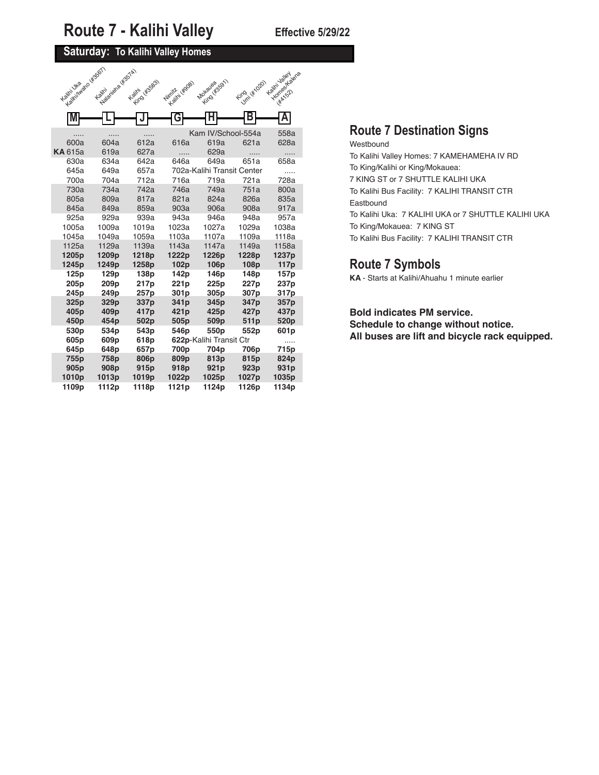### **Saturday: To Kalihi Valley Homes**

| Kaliniwako Wss61<br>Kalini Uka | National de la VESTAT<br>Kaiiri | King Ws583<br>Kailm | Numitive Wood     | Motaveses 1                | King ( Kinglo)   | Kalini Jaliey<br>Homes / Glena |
|--------------------------------|---------------------------------|---------------------|-------------------|----------------------------|------------------|--------------------------------|
|                                |                                 |                     |                   |                            |                  | <b>HAA</b> 1521                |
| M                              |                                 |                     | G                 |                            |                  | A                              |
|                                |                                 |                     |                   | Kam IV/School-554a         |                  | 558a                           |
| 600a                           | 604a                            | 612a                | 616a              | 619a                       | 621a             | 628a                           |
| <b>KA</b> 615a                 | 619a                            | 627a                | .                 | 629a                       | .                | .                              |
| 630a                           | 634a                            | 642a                | 646a              | 649a                       | 651a             | 658a                           |
| 645a                           | 649a                            | 657a                |                   | 702a-Kalihi Transit Center |                  | .                              |
| 700a                           | 704a                            | 712a                | 716a              | 719a                       | 721a             | 728a                           |
| 730a                           | 734a                            | 742a                | 746a              | 749a                       | 751a             | 800a                           |
| 805a                           | 809a                            | 817a                | 821a              | 824a                       | 826a             | 835a                           |
| 845a                           | 849a                            | 859a                | 903a              | 906a                       | 908a             | 917a                           |
| 925a                           | 929a                            | 939a                | 943a              | 946a                       | 948a             | 957a                           |
| 1005a                          | 1009a                           | 1019a               | 1023a             | 1027a                      | 1029a            | 1038a                          |
| 1045a                          | 1049a                           | 1059a               | 1103a             | 1107a                      | 1109a            | 1118a                          |
| 1125a                          | 1129a                           | 1139a               | 1143a             | 1147a                      | 1149a            | 1158a                          |
| 1205p                          | 1209 <sub>p</sub>               | 1218p               | 1222p             | 1226p                      | 1228p            | 1237p                          |
| 1245p<br>125 <sub>p</sub>      | 1249p<br>129 <sub>p</sub>       | 1258p<br>138p       | 102p<br>142p      | 106p<br>146 <sub>p</sub>   | 108p<br>148p     | 117 <sub>p</sub><br>157p       |
| 205 <sub>p</sub>               | 209 <sub>p</sub>                | 217p                | 221 <sub>p</sub>  | 225p                       | 227p             | 237 <sub>p</sub>               |
| 245 <sub>p</sub>               | 249 <sub>p</sub>                | 257 <sub>p</sub>    | 301 <sub>p</sub>  | 305 <sub>p</sub>           | 307 <sub>p</sub> | 317 <sub>p</sub>               |
| 325p                           | 329p                            | 337p                | 341p              | 345p                       | 347 <sub>p</sub> | 357p                           |
| 405 <sub>p</sub>               | 409 <sub>p</sub>                | 417 <sub>p</sub>    | 421 <sub>p</sub>  | 425 <sub>p</sub>           | 427p             | 437 <sub>p</sub>               |
| 450p                           | 454 <sub>p</sub>                | 502 <sub>p</sub>    | 505p              | 509 <sub>p</sub>           | 511 <sub>p</sub> | 520 <sub>p</sub>               |
| 530 <sub>p</sub>               | 534 <sub>p</sub>                | 543p                | 546p              | 550 <sub>p</sub>           | 552p             | 601 <sub>p</sub>               |
| 605 <sub>p</sub>               | 609 <sub>p</sub>                | 618p                |                   | 622p-Kalihi Transit Ctr    |                  | .                              |
| 645 <sub>p</sub>               | 648p                            | 657 <sub>p</sub>    | 700 <sub>p</sub>  | 704 <sub>p</sub>           | 706p             | 715p                           |
| 755p                           | 758p                            | 806p                | 809p              | 813p                       | 815 <sub>p</sub> | 824p                           |
| 905 <sub>p</sub>               | 908p                            | 915p                | 918p              | 921p                       | 923p             | 931p                           |
| 1010p                          | 1013p                           | 1019p               | 1022p             | 1025p                      | 1027p            | 1035p                          |
| 1109p                          | 1112p                           | 1118p               | 1121 <sub>p</sub> | 1124p                      | 1126p            | 1134p                          |

### **Route 7 Destination Signs**

Westbound To Kalihi Valley Homes: 7 KAMEHAMEHA IV RD To King/Kalihi or King/Mokauea: 7 KING ST or 7 SHUTTLE KALIHI UKA To Kalihi Bus Facility: 7 KALIHI TRANSIT CTR Eastbound To Kalihi Uka: 7 KALIHI UKA or 7 SHUTTLE KALIHI UKA To King/Mokauea: 7 KING ST To Kalihi Bus Facility: 7 KALIHI TRANSIT CTR

### **Route 7 Symbols**

**KA** - Starts at Kalihi/Ahuahu 1 minute earlier

### **Bold indicates PM service. Schedule to change without notice.**

**All buses are lift and bicycle rack equipped.**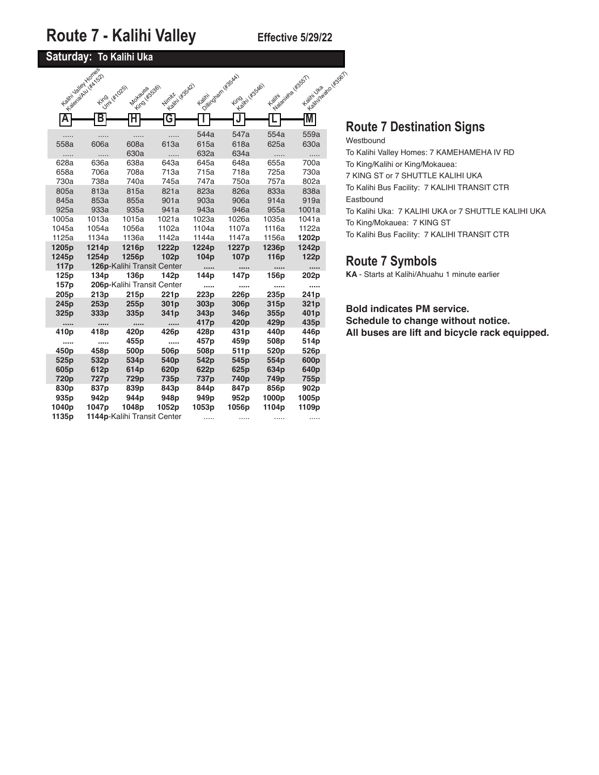### **Saturday: To Kalihi Uka**

|                  | Latin Valley Longe<br>In a decided that survey |                             |                  | Point of our description |                   | Lunivariada H2551 | La Village de Village de Village I |   |
|------------------|------------------------------------------------|-----------------------------|------------------|--------------------------|-------------------|-------------------|------------------------------------|---|
|                  | <b>King (#1025)</b>                            | - Eind Wasago)<br>Mokayea   | Winter (#3542)   | Kailm                    | King in Kisske)   | Kailm             |                                    |   |
|                  |                                                |                             |                  |                          |                   |                   |                                    |   |
| A                | В                                              |                             | G                |                          |                   |                   |                                    |   |
|                  |                                                |                             |                  | 544a                     | 547a              | 554a              | 559a                               |   |
| 558a             | 606a                                           | 608a                        | 613a             | 615a                     | 618a              | 625a              | 630a                               | ٧ |
| .                | .                                              | 630a                        | .                | 632a                     | 634a              | .                 | .                                  | ٦ |
| 628a             | 636a                                           | 638a                        | 643a             | 645a                     | 648a              | 655a              | 700a                               | ٦ |
| 658a             | 706a                                           | 708a                        | 713a             | 715a                     | 718a              | 725a              | 730a                               | 7 |
| 730a             | 738a                                           | 740a                        | 745a             | 747a                     | 750a              | 757a              | 802a                               | ٦ |
| 805a             | 813a                                           | 815a                        | 821a             | 823a                     | 826a              | 833a              | 838a                               |   |
| 845a             | 853a                                           | 855a                        | 901a             | 903a                     | 906a              | 914a              | 919a                               | E |
| 925a             | 933a                                           | 935a                        | 941a             | 943a                     | 946a              | 955a              | 1001a                              | ٦ |
| 1005a            | 1013a                                          | 1015a                       | 1021a            | 1023a                    | 1026a             | 1035a             | 1041a                              |   |
| 1045a            | 1054a                                          | 1056a                       | 1102a            | 1104a                    | 1107a             | 1116a             | 1122a                              |   |
| 1125a            | 1134a                                          | 1136a                       | 1142a            | 1144a                    | 1147a             | 1156a             | 1202p                              |   |
| 1205p            | 1214p                                          | 1216p                       | 1222p            | 1224p                    | 1227 <sub>p</sub> | 1236p             | 1242p                              |   |
| 1245p            | 1254p                                          | 1256p                       | 102p             | 104 <sub>p</sub>         | 107 <sub>p</sub>  | 116p              | 122p                               |   |
| 117p             |                                                | 126p-Kalihi Transit Center  |                  |                          |                   |                   |                                    |   |
| 125 <sub>p</sub> | 134 <sub>p</sub>                               | 136p                        | 142p             | 144p                     | 147p              | 156p              | 202p                               |   |
| 157p             |                                                | 206p-Kalihi Transit Center  |                  |                          |                   |                   |                                    |   |
| 205p             | 213p                                           | 215 <sub>p</sub>            | 221 <sub>p</sub> | 223p                     | 226 <sub>p</sub>  | 235p              | 241 <sub>p</sub>                   |   |
| 245p             | 253p                                           | 255p                        | 301p             | 303p                     | 306p              | 315p              | 321p                               |   |
| 325p             | 333p                                           | 335p                        | 341 <sub>p</sub> | 343p                     | 346p              | 355p              | 401 <sub>p</sub>                   |   |
|                  |                                                |                             |                  | 417 <sub>p</sub>         | 420p              | 429p              | 435p                               |   |
| 410p             | 418p                                           | 420 <sub>p</sub>            | 426p             | 428p                     | 431 <sub>p</sub>  | 440 <sub>p</sub>  | 446p                               |   |
| $\cdots$         |                                                | 455p                        |                  | 457p                     | 459p              | 508p              | 514p                               |   |
| 450p             | 458p                                           | 500p                        | 506p             | 508p                     | 511 <sub>p</sub>  | 520p              | 526p                               |   |
| 525p             | 532p                                           | 534p                        | 540 <sub>p</sub> | 542p                     | 545p              | 554p              | 600p                               |   |
| 605 <sub>p</sub> | 612p                                           | 614p                        | 620p             | 622p                     | 625 <sub>p</sub>  | 634p              | 640 <sub>p</sub>                   |   |
| 720p             | 727p                                           | 729p                        | 735p             | 737p                     | 740p              | 749p              | 755p                               |   |
| 830p             | 837p                                           | 839p                        | 843p             | 844p                     | 847p              | 856p              | 902p                               |   |
| 935p             | 942p                                           | 944p                        | 948p             | 949p                     | 952p              | 1000p             | 1005p                              |   |
| 1040p            | 1047p                                          | 1048p                       | 1052p            | 1053p                    | 1056p             | 1104p             | 1109p                              |   |
| 1135p            |                                                | 1144p-Kalihi Transit Center |                  |                          |                   |                   |                                    |   |

## **Route 7 Destination Signs**

Westbound To Kalihi Valley Homes: 7 KAMEHAMEHA IV RD To King/Kalihi or King/Mokauea: 7 KING ST or 7 SHUTTLE KALIHI UKA To Kalihi Bus Facility: 7 KALIHI TRANSIT CTR Eastbound To Kalihi Uka: 7 KALIHI UKA or 7 SHUTTLE KALIHI UKA To King/Mokauea: 7 KING ST To Kalihi Bus Facility: 7 KALIHI TRANSIT CTR

### **Route 7 Symbols**

**KA** - Starts at Kalihi/Ahuahu 1 minute earlier

### **Bold indicates PM service.**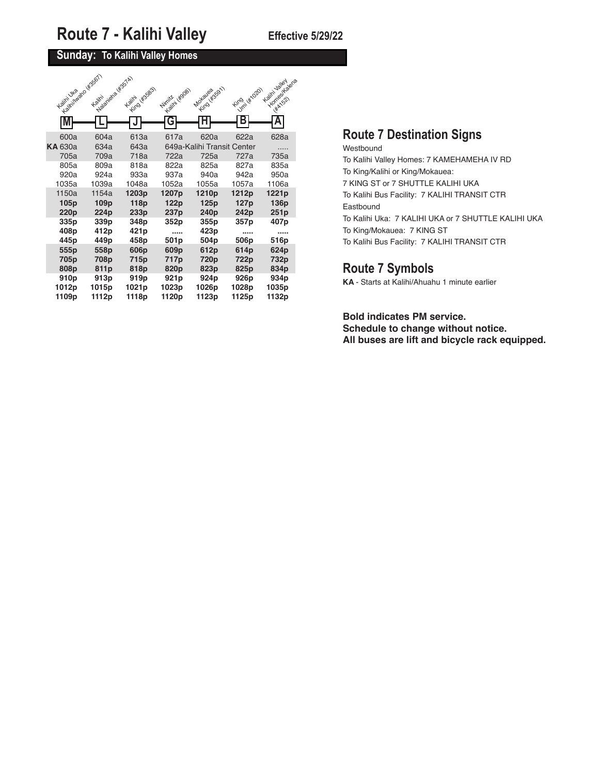## **Sunday: To Kalihi Valley Homes**

| Lealini Nazio (4356T)<br>Kalini Uka           | Nadrigita (KSSTA)<br><b>Kailin</b>            | King (Kissas)<br><b>Kailni</b>   | Nimity (4908)                     | King (#stg1)<br>Mokauga            | Umil Kita201<br><b>Fire</b>       | Homes Italiana<br>Kalini Jaliet<br><b>HATIS2</b> |
|-----------------------------------------------|-----------------------------------------------|----------------------------------|-----------------------------------|------------------------------------|-----------------------------------|--------------------------------------------------|
| M                                             |                                               |                                  | G                                 |                                    |                                   | Α                                                |
| 600a<br><b>KA</b> 630a                        | 604a<br>634a                                  | 613a<br>643a                     | 617a                              | 620a<br>649a-Kalihi Transit Center | 622a                              | 628a                                             |
| 705a                                          | 709a                                          | 718a                             | 722a                              | 725a                               | 727a                              | 735a                                             |
| 805a<br>920a                                  | 809a<br>924a                                  | 818a<br>933a                     | 822a<br>937a                      | 825a<br>940a                       | 827a<br>942a                      | 835a<br>950a                                     |
| 1035a                                         | 1039a                                         | 1048a                            | 1052a                             | 1055a                              | 1057a                             | 1106a                                            |
| 1150a<br>105 <sub>p</sub><br>220 <sub>p</sub> | 1154a<br>109 <sub>p</sub><br>224 <sub>p</sub> | 1203p<br>118p<br>233p            | 1207p<br>122p<br>237 <sub>p</sub> | 1210p<br>125p<br>240 <sub>p</sub>  | 1212p<br>127 <sub>p</sub><br>242p | 1221 <sub>p</sub><br>136p<br>251p                |
| 335 <sub>p</sub><br>408p<br>445 <sub>p</sub>  | 339p<br>412p<br>449p                          | 348p<br>421 <sub>p</sub><br>458p | 352p<br><br>501 <sub>p</sub>      | 355p<br>423p<br>504 <sub>p</sub>   | 357p<br><br>506 <sub>p</sub>      | 407 <sub>p</sub><br><br>516p                     |
| 555p<br>705p                                  | 558p<br>708p                                  | 606p<br>715p                     | 609p<br>717p                      | 612p<br>720p                       | 614p<br>722p                      | 624p<br>732p                                     |
| 808p<br>910 <sub>p</sub><br>1012p             | 811 <sub>p</sub><br>913p<br>1015p             | 818p<br>919p<br>1021p            | 820p<br>921p<br>1023p             | 823p<br>924p<br>1026p              | 825p<br>926p<br>1028p             | 834p<br>934p<br>1035p                            |
| 1109p                                         | 1112p                                         | 1118p                            | 1120p                             | 1123p                              | 1125p                             | 1132p                                            |

## **Route 7 Destination Signs**

Westbound To Kalihi Valley Homes: 7 KAMEHAMEHA IV RD To King/Kalihi or King/Mokauea: 7 KING ST or 7 SHUTTLE KALIHI UKA To Kalihi Bus Facility: 7 KALIHI TRANSIT CTR Eastbound To Kalihi Uka: 7 KALIHI UKA or 7 SHUTTLE KALIHI UKA To King/Mokauea: 7 KING ST To Kalihi Bus Facility: 7 KALIHI TRANSIT CTR

### **Route 7 Symbols**

**KA** - Starts at Kalihi/Ahuahu 1 minute earlier

## **Bold indicates PM service.**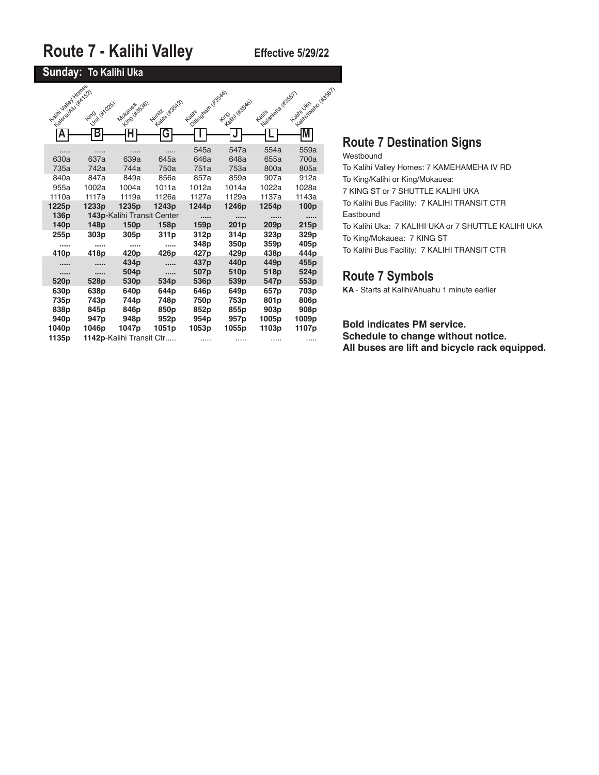### **Sunday: To Kalihi Uka**

| Kalini Jaley Hones<br>Laboratory (KATS2) | Umil WYO25)<br><b>Fire</b> | King (#s536)<br>Mokayea    | Kalifi Hissap<br>Nimitz | Oilington (45544)<br><b>Kailin</b> | Kaitri kissaloi<br><b>Fire</b> | Nalaniala (4555)<br>Kailm | K. Alivillaid No Unisisch<br>Kalini Uka |  |
|------------------------------------------|----------------------------|----------------------------|-------------------------|------------------------------------|--------------------------------|---------------------------|-----------------------------------------|--|
| A                                        | В                          | Н                          | G                       |                                    |                                |                           | M                                       |  |
|                                          |                            |                            |                         | 545a                               | 547a                           | 554a                      | 559a                                    |  |
| 630a                                     | 637a                       | 639a                       | 645a                    | 646a                               | 648a                           | 655a                      | 700a                                    |  |
| 735a                                     | 742a                       | 744a                       | 750a                    | 751a                               | 753a                           | 800a                      | 805a                                    |  |
| 840a                                     | 847a                       | 849a                       | 856a                    | 857a                               | 859a                           | 907a                      | 912a                                    |  |
| 955a                                     | 1002a                      | 1004a                      | 1011a                   | 1012a                              | 1014a                          | 1022a                     | 1028a                                   |  |
| 1110a                                    | 1117a                      | 1119a                      | 1126a                   | 1127a                              | 1129a                          | 1137a                     | 1143a                                   |  |
| 1225p                                    | 1233p                      | 1235p                      | 1243p                   | 1244p                              | 1246p                          | 1254p                     | 100p                                    |  |
| 136p                                     |                            | 143p-Kalihi Transit Center |                         |                                    |                                |                           |                                         |  |
| 140 <sub>p</sub>                         | 148p                       | 150 <sub>p</sub>           | 158p                    | 159p                               | 201 <sub>p</sub>               | 209 <sub>p</sub>          | 215p                                    |  |
| 255p                                     | 303p                       | 305p                       | 311p                    | 312p                               | 314p                           | 323p                      | 329p                                    |  |
|                                          |                            |                            |                         | 348p                               | 350 <sub>p</sub>               | 359 <sub>p</sub>          | 405p                                    |  |
| 410 <sub>p</sub>                         | 418 <sub>p</sub>           | 420 <sub>p</sub>           | 426p                    | 427p                               | 429p                           | 438p                      | 444p                                    |  |
|                                          |                            | 434p                       |                         | 437p                               | 440p                           | 449p                      | 455p                                    |  |
|                                          |                            | 504p                       |                         | 507p                               | 510 <sub>p</sub>               | 518p                      | 524p                                    |  |
| 520 <sub>p</sub>                         | 528p                       | 530 <sub>p</sub>           | 534p                    | 536p                               | 539p                           | 547 <sub>p</sub>          | 553p                                    |  |
| 630 <sub>p</sub>                         | 638p                       | 640 <sub>p</sub>           | 644p                    | 646p                               | 649 <sub>p</sub>               | 657 <sub>p</sub>          | 703p                                    |  |
| 735p                                     | 743p                       | 744p                       | 748p                    | 750 <sub>p</sub>                   | 753p                           | 801 <sub>p</sub>          | 806p                                    |  |
| 838p                                     | 845p                       | 846p                       | 850p                    | 852p                               | 855p                           | 903p                      | 908p                                    |  |
| 940 <sub>p</sub>                         | 947 <sub>p</sub>           | 948p                       | 952p                    | 954 <sub>p</sub>                   | 957p                           | 1005p                     | 1009p                                   |  |
| 1040p                                    | 1046p                      | 1047p                      | 1051p                   | 1053p                              | 1055p                          | 1103p                     | 1107p                                   |  |
| 1135p                                    |                            | 1142p-Kalihi Transit Ctr   |                         | .                                  |                                |                           |                                         |  |

## **Route 7 Destination Signs**

### Westbound

To Kalihi Valley Homes: 7 KAMEHAMEHA IV RD To King/Kalihi or King/Mokauea: 7 KING ST or 7 SHUTTLE KALIHI UKA To Kalihi Bus Facility: 7 KALIHI TRANSIT CTR Eastbound To Kalihi Uka: 7 KALIHI UKA or 7 SHUTTLE KALIHI UKA To King/Mokauea: 7 KING ST

To Kalihi Bus Facility: 7 KALIHI TRANSIT CTR

### **Route 7 Symbols**

**KA** - Starts at Kalihi/Ahuahu 1 minute earlier

**Bold indicates PM service.**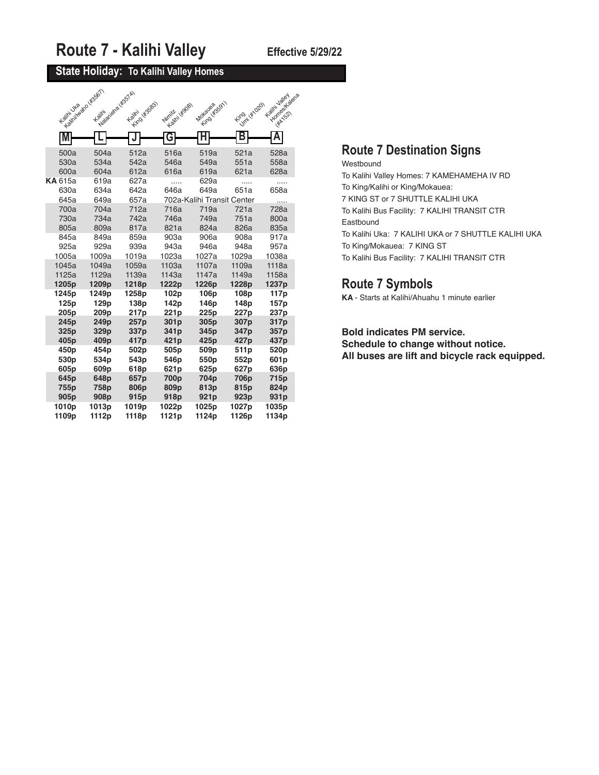### **State Holiday: To Kalihi Valley Homes**

| A Contribution of BSGT<br>Kalini Uka | <b>Havaloid</b> Assim<br>Kailm | Kailin (Kasas)       | Winter ( KBOB)   | <b>MONSURANSON</b>                         | King ( Kingdo)   | Kaitin Jalley<br>Homes / dena<br><b>HAA</b> 152 |
|--------------------------------------|--------------------------------|----------------------|------------------|--------------------------------------------|------------------|-------------------------------------------------|
| M                                    |                                |                      | G                |                                            | В                |                                                 |
| 500a                                 | 504a                           | 512a                 | 516a             | 519a                                       | 521a             | 528a                                            |
| 530a                                 | 534a                           | 542a                 | 546a             | 549a                                       | 551a             | 558a                                            |
| 600a                                 | 604a                           | 612a                 | 616a             | 619a                                       | 621a             | 628a                                            |
| <b>KA</b> 615a<br>630a<br>645a       | 619a<br>634a<br>649a           | 627a<br>642a<br>657a | .<br>646a        | 629a<br>649a<br>702a-Kalihi Transit Center | .<br>651a        | .<br>658a<br>.                                  |
| 700a                                 | 704a                           | 712a                 | 716a             | 719a                                       | 721a             | 728a                                            |
| 730a                                 | 734a                           | 742a                 | 746a             | 749a                                       | 751a             | 800a                                            |
| 805a                                 | 809a                           | 817a                 | 821a             | 824a                                       | 826a             | 835a                                            |
| 845a                                 | 849a                           | 859a                 | 903a             | 906a                                       | 908a             | 917a                                            |
| 925a                                 | 929a                           | 939a                 | 943a             | 946a                                       | 948a             | 957a                                            |
| 1005a                                | 1009a                          | 1019a                | 1023a            | 1027a                                      | 1029a            | 1038a                                           |
| 1045a                                | 1049a                          | 1059a                | 1103a            | 1107a                                      | 1109a            | 1118a                                           |
| 1125a                                | 1129a                          | 1139a                | 1143a            | 1147a                                      | 1149a            | 1158a                                           |
| 1205p                                | 1209p                          | 1218p                | 1222p            | 1226p                                      | 1228p            | 1237p                                           |
| 1245p                                | 1249p                          | 1258p                | 102p             | 106p                                       | 108p             | 117p                                            |
| 125p                                 | 129p                           | 138p                 | 142p             | 146p                                       | 148p             | 157p                                            |
| 205p                                 | 209p                           | 217p                 | 221p             | 225p                                       | 227p             | 237p                                            |
| 245 <sub>p</sub>                     | 249 <sub>p</sub>               | 257p                 | 301 <sub>p</sub> | 305 <sub>p</sub>                           | 307p             | 317p                                            |
| 325 <sub>p</sub>                     | 329 <sub>p</sub>               | 337p                 | 341 <sub>p</sub> | 345p                                       | 347 <sub>p</sub> | 357p                                            |
| 405 <sub>p</sub>                     | 409 <sub>p</sub>               | 417 <sub>p</sub>     | 421 <sub>p</sub> | 425 <sub>p</sub>                           | 427 <sub>p</sub> | 437 <sub>p</sub>                                |
| 450p                                 | 454 <sub>p</sub>               | 502p                 | 505 <sub>p</sub> | 509p                                       | 511 <sub>p</sub> | 520 <sub>p</sub>                                |
| 530 <sub>p</sub>                     | 534p                           | 543p                 | 546p             | 550p                                       | 552p             | 601p                                            |
| 605 <sub>p</sub>                     | 609p                           | 618p                 | 621p             | 625p                                       | 627 <sub>p</sub> | 636p                                            |
| 645 <sub>p</sub>                     | 648p                           | 657p                 | 700p             | 704p                                       | 706p             | 715p                                            |
| 755p                                 | 758p                           | 806p                 | 809p             | 813p                                       | 815p             | 824p                                            |
| 905 <sub>p</sub>                     | 908p                           | 915 <sub>p</sub>     | 918p             | 921 <sub>p</sub>                           | 923p             | 931p                                            |
| 1010p                                | 1013p                          | 1019p                | 1022p            | 1025p                                      | 1027p            | 1035p                                           |
| 1109p                                | 1112p                          | 1118p                | 1121p            | 1124p                                      | 1126p            | 1134p                                           |

### **Route 7 Destination Signs**

Westbound To Kalihi Valley Homes: 7 KAMEHAMEHA IV RD To King/Kalihi or King/Mokauea: 7 KING ST or 7 SHUTTLE KALIHI UKA To Kalihi Bus Facility: 7 KALIHI TRANSIT CTR Eastbound To Kalihi Uka: 7 KALIHI UKA or 7 SHUTTLE KALIHI UKA To King/Mokauea: 7 KING ST To Kalihi Bus Facility: 7 KALIHI TRANSIT CTR

### **Route 7 Symbols**

**KA** - Starts at Kalihi/Ahuahu 1 minute earlier

**Bold indicates PM service. Schedule to change without notice. All buses are lift and bicycle rack equipped.**